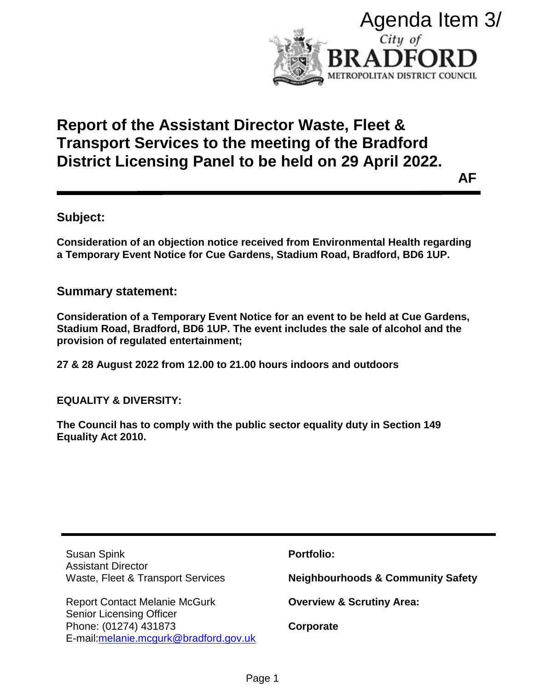

# **Report of the Assistant Director Waste, Fleet & Transport Services to the meeting of the Bradford District Licensing Panel to be held on 29 April 2022.**

# **Subject:**

## **Summary statement:**

**EQUALITY & DIVERSITY:**

|                                                                                                                                                                                                            | Agenda Item 3/<br>City of<br><b>RADFORD</b>  |
|------------------------------------------------------------------------------------------------------------------------------------------------------------------------------------------------------------|----------------------------------------------|
| METROPOLITAN DISTRICT COUNCIL                                                                                                                                                                              |                                              |
| <b>Report of the Assistant Director Waste, Fleet &amp;</b><br>Transport Services to the meeting of the Bradford<br>District Licensing Panel to be held on 29 April 2022.<br>AF                             |                                              |
| ubject:                                                                                                                                                                                                    |                                              |
| onsideration of an objection notice received from Environmental Health regarding<br>Temporary Event Notice for Cue Gardens, Stadium Road, Bradford, BD6 1UP.                                               |                                              |
| ummary statement:                                                                                                                                                                                          |                                              |
| onsideration of a Temporary Event Notice for an event to be held at Cue Gardens,<br>tadium Road, Bradford, BD6 1UP. The event includes the sale of alcohol and the<br>rovision of regulated entertainment; |                                              |
| 7 & 28 August 2022 from 12.00 to 21.00 hours indoors and outdoors                                                                                                                                          |                                              |
| <b>QUALITY &amp; DIVERSITY:</b>                                                                                                                                                                            |                                              |
| he Council has to comply with the public sector equality duty in Section 149<br>quality Act 2010.                                                                                                          |                                              |
|                                                                                                                                                                                                            |                                              |
|                                                                                                                                                                                                            |                                              |
| <b>Susan Spink</b>                                                                                                                                                                                         | <b>Portfolio:</b>                            |
| <b>Assistant Director</b><br>Waste, Fleet & Transport Services                                                                                                                                             | <b>Neighbourhoods &amp; Community Safety</b> |
| <b>Report Contact Melanie McGurk</b><br><b>Senior Licensing Officer</b><br>Phone: (01274) 431873<br>E-mail: melanie. mcgurk@bradford.gov.uk                                                                | <b>Overview &amp; Scrutiny Area:</b>         |
|                                                                                                                                                                                                            | Corporate                                    |
| Page 1                                                                                                                                                                                                     |                                              |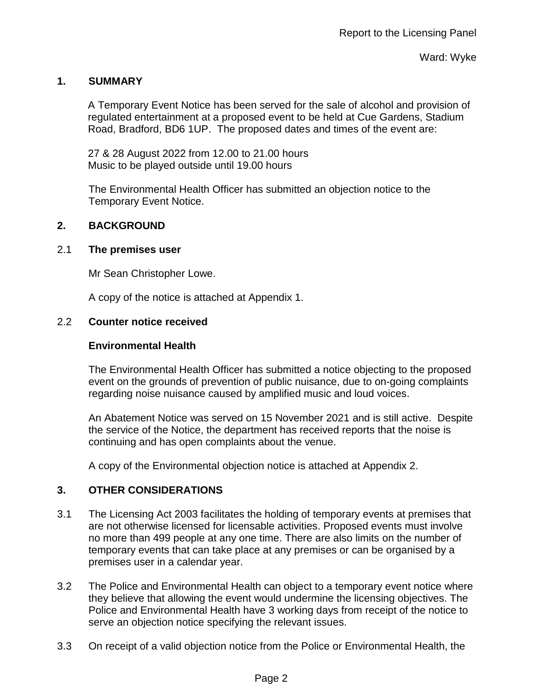## **1. SUMMARY**

A Temporary Event Notice has been served for the sale of alcohol and provision of regulated entertainment at a proposed event to be held at Cue Gardens, Stadium Road, Bradford, BD6 1UP. The proposed dates and times of the event are:

27 & 28 August 2022 from 12.00 to 21.00 hours Music to be played outside until 19.00 hours

The Environmental Health Officer has submitted an objection notice to the Temporary Event Notice.

## **2. BACKGROUND**

## 2.1 **The premises user**

Mr Sean Christopher Lowe.

A copy of the notice is attached at Appendix 1.

## 2.2 **Counter notice received**

#### **Environmental Health**

The Environmental Health Officer has submitted a notice objecting to the proposed event on the grounds of prevention of public nuisance, due to on-going complaints regarding noise nuisance caused by amplified music and loud voices.

An Abatement Notice was served on 15 November 2021 and is still active. Despite the service of the Notice, the department has received reports that the noise is continuing and has open complaints about the venue.

A copy of the Environmental objection notice is attached at Appendix 2.

## **3. OTHER CONSIDERATIONS**

- 3.1 The Licensing Act 2003 facilitates the holding of temporary events at premises that are not otherwise licensed for licensable activities. Proposed events must involve no more than 499 people at any one time. There are also limits on the number of temporary events that can take place at any premises or can be organised by a premises user in a calendar year.
- 3.2 The Police and Environmental Health can object to a temporary event notice where they believe that allowing the event would undermine the licensing objectives. The Police and Environmental Health have 3 working days from receipt of the notice to serve an objection notice specifying the relevant issues.
- 3.3 On receipt of a valid objection notice from the Police or Environmental Health, the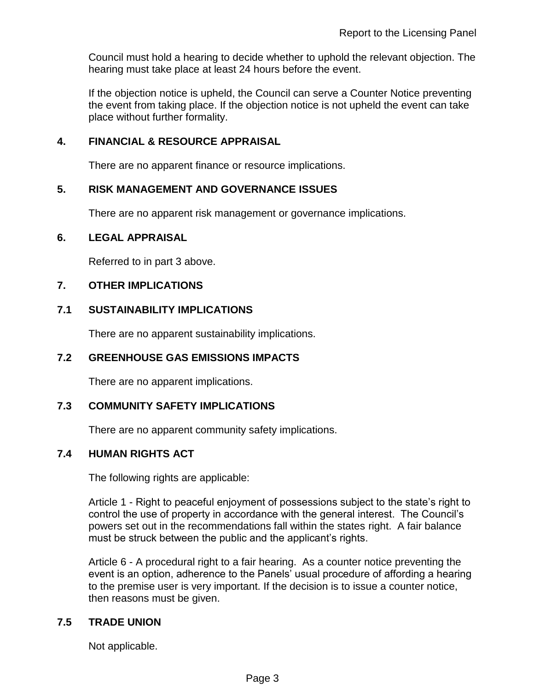Council must hold a hearing to decide whether to uphold the relevant objection. The hearing must take place at least 24 hours before the event.

If the objection notice is upheld, the Council can serve a Counter Notice preventing the event from taking place. If the objection notice is not upheld the event can take place without further formality.

### **4. FINANCIAL & RESOURCE APPRAISAL**

There are no apparent finance or resource implications.

#### **5. RISK MANAGEMENT AND GOVERNANCE ISSUES**

There are no apparent risk management or governance implications.

#### **6. LEGAL APPRAISAL**

Referred to in part 3 above.

#### **7. OTHER IMPLICATIONS**

#### **7.1 SUSTAINABILITY IMPLICATIONS**

There are no apparent sustainability implications.

#### **7.2 GREENHOUSE GAS EMISSIONS IMPACTS**

There are no apparent implications.

#### **7.3 COMMUNITY SAFETY IMPLICATIONS**

There are no apparent community safety implications.

#### **7.4 HUMAN RIGHTS ACT**

The following rights are applicable:

Article 1 - Right to peaceful enjoyment of possessions subject to the state's right to control the use of property in accordance with the general interest. The Council's powers set out in the recommendations fall within the states right. A fair balance must be struck between the public and the applicant's rights.

Article 6 - A procedural right to a fair hearing. As a counter notice preventing the event is an option, adherence to the Panels' usual procedure of affording a hearing to the premise user is very important. If the decision is to issue a counter notice, then reasons must be given.

#### **7.5 TRADE UNION**

Not applicable.